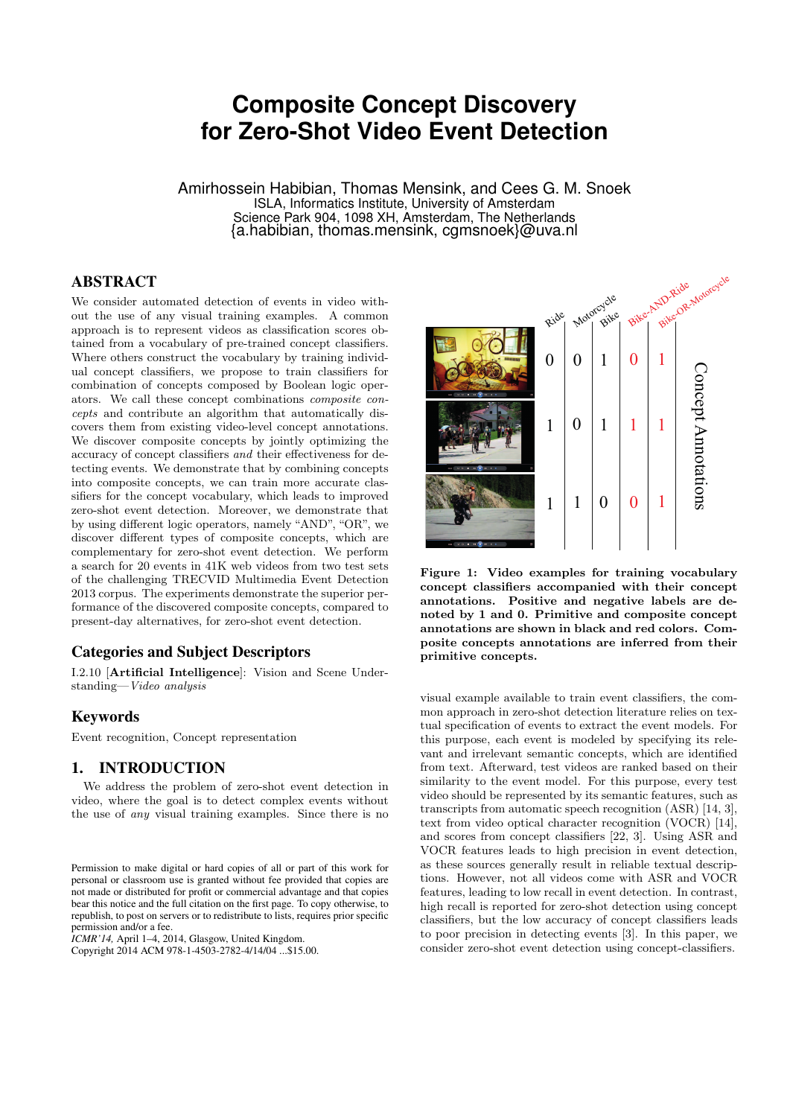# **Composite Concept Discovery for Zero-Shot Video Event Detection**

Amirhossein Habibian, Thomas Mensink, and Cees G. M. Snoek ISLA, Informatics Institute, University of Amsterdam Science Park 904, 1098 XH, Amsterdam, The Netherlands {a.habibian, thomas.mensink, cgmsnoek}@uva.nl

# ABSTRACT

We consider automated detection of events in video without the use of any visual training examples. A common approach is to represent videos as classification scores obtained from a vocabulary of pre-trained concept classifiers. Where others construct the vocabulary by training individual concept classifiers, we propose to train classifiers for combination of concepts composed by Boolean logic operators. We call these concept combinations *composite concepts* and contribute an algorithm that automatically discovers them from existing video-level concept annotations. We discover composite concepts by jointly optimizing the accuracy of concept classifiers *and* their effectiveness for detecting events. We demonstrate that by combining concepts into composite concepts, we can train more accurate classifiers for the concept vocabulary, which leads to improved zero-shot event detection. Moreover, we demonstrate that by using different logic operators, namely "AND", "OR", we discover different types of composite concepts, which are complementary for zero-shot event detection. We perform a search for 20 events in 41K web videos from two test sets of the challenging TRECVID Multimedia Event Detection 2013 corpus. The experiments demonstrate the superior performance of the discovered composite concepts, compared to present-day alternatives, for zero-shot event detection.

### Categories and Subject Descriptors

I.2.10 [Artificial Intelligence]: Vision and Scene Understanding—*Video analysis*

#### Keywords

Event recognition, Concept representation

# 1. INTRODUCTION

We address the problem of zero-shot event detection in video, where the goal is to detect complex events without the use of *any* visual training examples. Since there is no

*ICMR'14,* April 1–4, 2014, Glasgow, United Kingdom.

Copyright 2014 ACM 978-1-4503-2782-4/14/04 ...\$15.00.



Figure 1: Video examples for training vocabulary concept classifiers accompanied with their concept annotations. Positive and negative labels are denoted by 1 and 0. Primitive and composite concept annotations are shown in black and red colors. Composite concepts annotations are inferred from their primitive concepts.

visual example available to train event classifiers, the common approach in zero-shot detection literature relies on textual specification of events to extract the event models. For this purpose, each event is modeled by specifying its relevant and irrelevant semantic concepts, which are identified from text. Afterward, test videos are ranked based on their similarity to the event model. For this purpose, every test video should be represented by its semantic features, such as transcripts from automatic speech recognition (ASR) [14, 3], text from video optical character recognition (VOCR) [14], and scores from concept classifiers [22, 3]. Using ASR and VOCR features leads to high precision in event detection, as these sources generally result in reliable textual descriptions. However, not all videos come with ASR and VOCR features, leading to low recall in event detection. In contrast, high recall is reported for zero-shot detection using concept classifiers, but the low accuracy of concept classifiers leads to poor precision in detecting events [3]. In this paper, we consider zero-shot event detection using concept-classifiers.

Permission to make digital or hard copies of all or part of this work for personal or classroom use is granted without fee provided that copies are not made or distributed for profit or commercial advantage and that copies bear this notice and the full citation on the first page. To copy otherwise, to republish, to post on servers or to redistribute to lists, requires prior specific permission and/or a fee.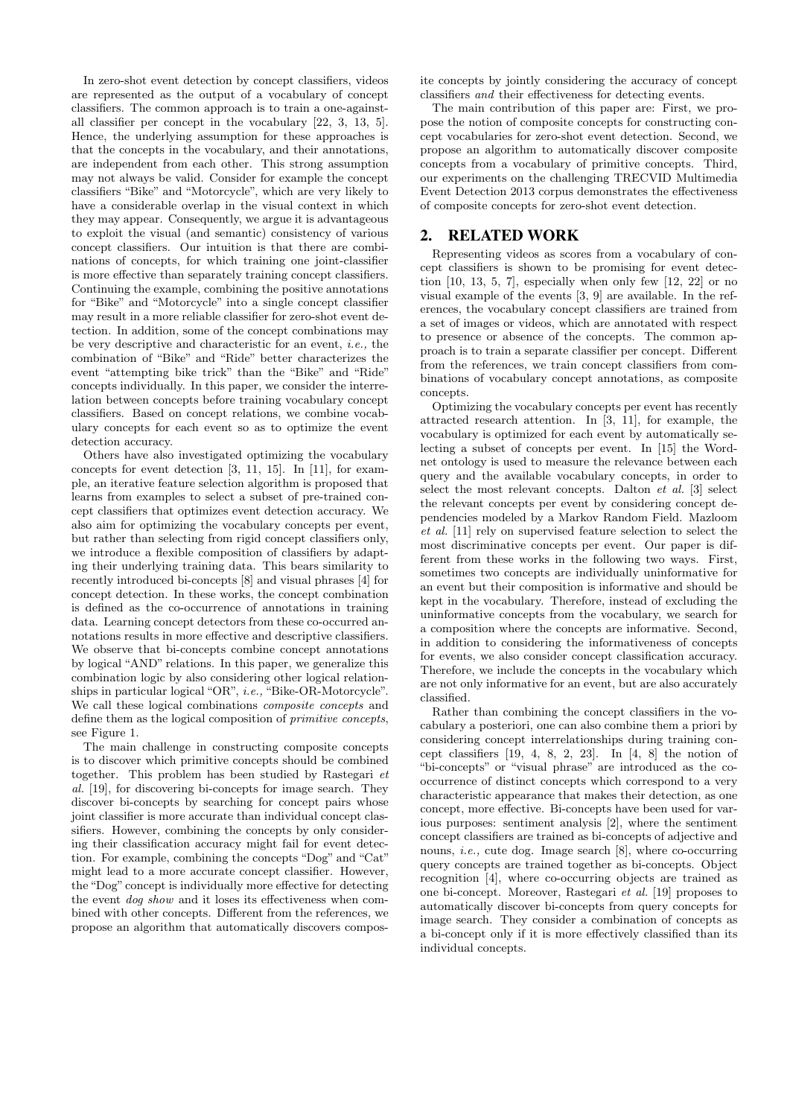In zero-shot event detection by concept classifiers, videos are represented as the output of a vocabulary of concept classifiers. The common approach is to train a one-againstall classifier per concept in the vocabulary [22, 3, 13, 5]. Hence, the underlying assumption for these approaches is that the concepts in the vocabulary, and their annotations, are independent from each other. This strong assumption may not always be valid. Consider for example the concept classifiers "Bike" and "Motorcycle", which are very likely to have a considerable overlap in the visual context in which they may appear. Consequently, we argue it is advantageous to exploit the visual (and semantic) consistency of various concept classifiers. Our intuition is that there are combinations of concepts, for which training one joint-classifier is more effective than separately training concept classifiers. Continuing the example, combining the positive annotations for "Bike" and "Motorcycle" into a single concept classifier may result in a more reliable classifier for zero-shot event detection. In addition, some of the concept combinations may be very descriptive and characteristic for an event, *i.e.,* the combination of "Bike" and "Ride" better characterizes the event "attempting bike trick" than the "Bike" and "Ride" concepts individually. In this paper, we consider the interrelation between concepts before training vocabulary concept classifiers. Based on concept relations, we combine vocabulary concepts for each event so as to optimize the event detection accuracy.

Others have also investigated optimizing the vocabulary concepts for event detection [3, 11, 15]. In [11], for example, an iterative feature selection algorithm is proposed that learns from examples to select a subset of pre-trained concept classifiers that optimizes event detection accuracy. We also aim for optimizing the vocabulary concepts per event, but rather than selecting from rigid concept classifiers only, we introduce a flexible composition of classifiers by adapting their underlying training data. This bears similarity to recently introduced bi-concepts [8] and visual phrases [4] for concept detection. In these works, the concept combination is defined as the co-occurrence of annotations in training data. Learning concept detectors from these co-occurred annotations results in more effective and descriptive classifiers. We observe that bi-concepts combine concept annotations by logical "AND" relations. In this paper, we generalize this combination logic by also considering other logical relationships in particular logical "OR", *i.e.,* "Bike-OR-Motorcycle". We call these logical combinations *composite concepts* and define them as the logical composition of *primitive concepts*, see Figure 1.

The main challenge in constructing composite concepts is to discover which primitive concepts should be combined together. This problem has been studied by Rastegari *et al.* [19], for discovering bi-concepts for image search. They discover bi-concepts by searching for concept pairs whose joint classifier is more accurate than individual concept classifiers. However, combining the concepts by only considering their classification accuracy might fail for event detection. For example, combining the concepts "Dog" and "Cat" might lead to a more accurate concept classifier. However, the "Dog" concept is individually more effective for detecting the event *dog show* and it loses its effectiveness when combined with other concepts. Different from the references, we propose an algorithm that automatically discovers composite concepts by jointly considering the accuracy of concept classifiers *and* their effectiveness for detecting events.

The main contribution of this paper are: First, we propose the notion of composite concepts for constructing concept vocabularies for zero-shot event detection. Second, we propose an algorithm to automatically discover composite concepts from a vocabulary of primitive concepts. Third, our experiments on the challenging TRECVID Multimedia Event Detection 2013 corpus demonstrates the effectiveness of composite concepts for zero-shot event detection.

### 2. RELATED WORK

Representing videos as scores from a vocabulary of concept classifiers is shown to be promising for event detection  $[10, 13, 5, 7]$ , especially when only few  $[12, 22]$  or no visual example of the events [3, 9] are available. In the references, the vocabulary concept classifiers are trained from a set of images or videos, which are annotated with respect to presence or absence of the concepts. The common approach is to train a separate classifier per concept. Different from the references, we train concept classifiers from combinations of vocabulary concept annotations, as composite concepts.

Optimizing the vocabulary concepts per event has recently attracted research attention. In [3, 11], for example, the vocabulary is optimized for each event by automatically selecting a subset of concepts per event. In [15] the Wordnet ontology is used to measure the relevance between each query and the available vocabulary concepts, in order to select the most relevant concepts. Dalton *et al.* [3] select the relevant concepts per event by considering concept dependencies modeled by a Markov Random Field. Mazloom *et al.* [11] rely on supervised feature selection to select the most discriminative concepts per event. Our paper is different from these works in the following two ways. First, sometimes two concepts are individually uninformative for an event but their composition is informative and should be kept in the vocabulary. Therefore, instead of excluding the uninformative concepts from the vocabulary, we search for a composition where the concepts are informative. Second, in addition to considering the informativeness of concepts for events, we also consider concept classification accuracy. Therefore, we include the concepts in the vocabulary which are not only informative for an event, but are also accurately classified.

Rather than combining the concept classifiers in the vocabulary a posteriori, one can also combine them a priori by considering concept interrelationships during training concept classifiers  $[19, 4, 8, 2, 23]$ . In  $[4, 8]$  the notion of "bi-concepts" or "visual phrase" are introduced as the cooccurrence of distinct concepts which correspond to a very characteristic appearance that makes their detection, as one concept, more effective. Bi-concepts have been used for various purposes: sentiment analysis [2], where the sentiment concept classifiers are trained as bi-concepts of adjective and nouns, *i.e.,* cute dog. Image search [8], where co-occurring query concepts are trained together as bi-concepts. Object recognition [4], where co-occurring objects are trained as one bi-concept. Moreover, Rastegari *et al.* [19] proposes to automatically discover bi-concepts from query concepts for image search. They consider a combination of concepts as a bi-concept only if it is more effectively classified than its individual concepts.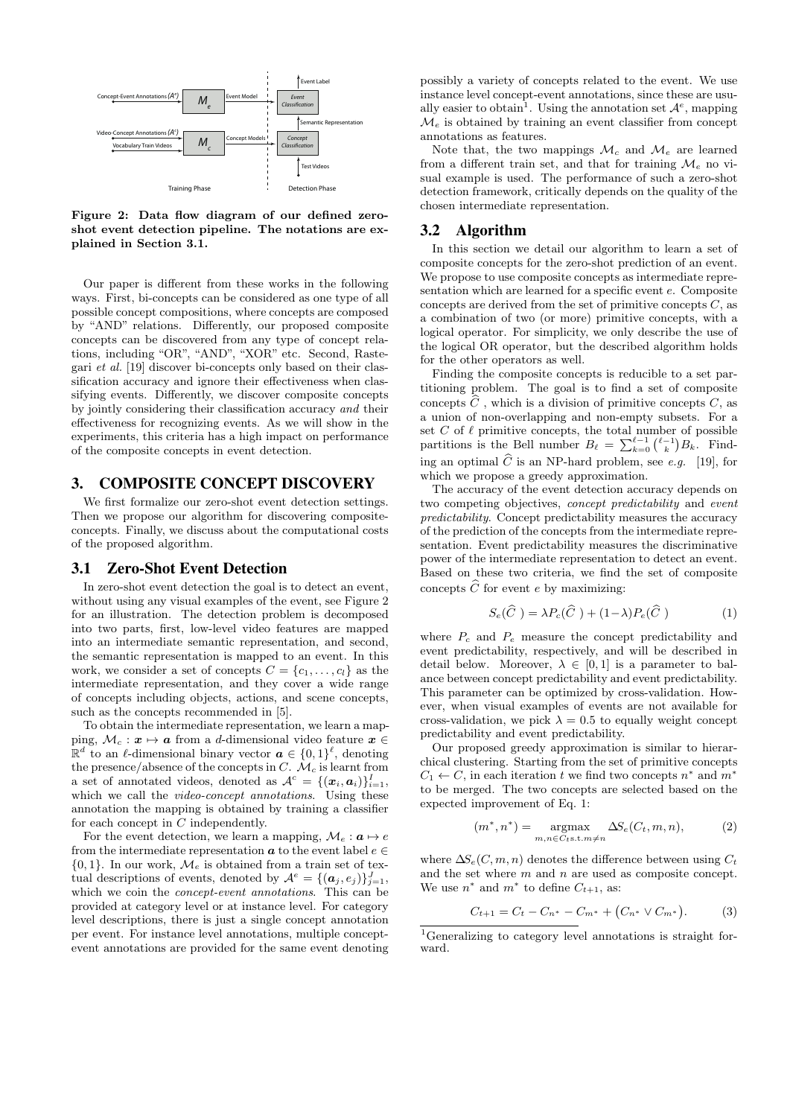

Figure 2: Data flow diagram of our defined zeroshot event detection pipeline. The notations are explained in Section 3.1.

Our paper is different from these works in the following ways. First, bi-concepts can be considered as one type of all possible concept compositions, where concepts are composed by "AND" relations. Differently, our proposed composite concepts can be discovered from any type of concept relations, including "OR", "AND", "XOR" etc. Second, Rastegari *et al.* [19] discover bi-concepts only based on their classification accuracy and ignore their effectiveness when classifying events. Differently, we discover composite concepts by jointly considering their classification accuracy *and* their effectiveness for recognizing events. As we will show in the experiments, this criteria has a high impact on performance of the composite concepts in event detection.

#### 3. COMPOSITE CONCEPT DISCOVERY

We first formalize our zero-shot event detection settings. Then we propose our algorithm for discovering compositeconcepts. Finally, we discuss about the computational costs of the proposed algorithm.

#### 3.1 Zero-Shot Event Detection

In zero-shot event detection the goal is to detect an event, without using any visual examples of the event, see Figure 2 for an illustration. The detection problem is decomposed into two parts, first, low-level video features are mapped into an intermediate semantic representation, and second, the semantic representation is mapped to an event. In this work, we consider a set of concepts  $C = \{c_1, \ldots, c_l\}$  as the intermediate representation, and they cover a wide range of concepts including objects, actions, and scene concepts, such as the concepts recommended in [5].

To obtain the intermediate representation, we learn a mapping,  $\mathcal{M}_c : \mathbf{x} \mapsto \mathbf{a}$  from a *d*-dimensional video feature  $\mathbf{x} \in \mathbf{a}$  $\mathbb{R}^d$  to an  $\ell$ -dimensional binary vector  $\boldsymbol{a} \in \{0,1\}^{\ell}$ , denoting the presence/absence of the concepts in *C*.  $\mathcal{M}_c$  is learnt from a set of annotated videos, denoted as  $\mathcal{A}^c = \{(\boldsymbol{x}_i, \boldsymbol{a}_i)\}_{i=1}^I$ , which we call the *video-concept annotations*. Using these annotation the mapping is obtained by training a classifier for each concept in *C* independently.

For the event detection, we learn a mapping,  $\mathcal{M}_e : \mathbf{a} \mapsto e$ from the intermediate representation  $a$  to the event label  $e \in$  $\{0, 1\}$ . In our work,  $\mathcal{M}_e$  is obtained from a train set of textual descriptions of events, denoted by  $\mathcal{A}^e = \{(\boldsymbol{a}_j, e_j)\}_{j=1}^J$ , which we coin the *concept-event annotations*. This can be provided at category level or at instance level. For category level descriptions, there is just a single concept annotation per event. For instance level annotations, multiple conceptevent annotations are provided for the same event denoting

possibly a variety of concepts related to the event. We use instance level concept-event annotations, since these are usually easier to obtain<sup>1</sup>. Using the annotation set  $\mathcal{A}^e$ , mapping  $\mathcal{M}_e$  is obtained by training an event classifier from concept annotations as features.

Note that, the two mappings  $\mathcal{M}_c$  and  $\mathcal{M}_e$  are learned from a different train set, and that for training  $\mathcal{M}_e$  no visual example is used. The performance of such a zero-shot detection framework, critically depends on the quality of the chosen intermediate representation.

#### 3.2 Algorithm

In this section we detail our algorithm to learn a set of composite concepts for the zero-shot prediction of an event. We propose to use composite concepts as intermediate representation which are learned for a specific event *e*. Composite concepts are derived from the set of primitive concepts *C*, as a combination of two (or more) primitive concepts, with a logical operator. For simplicity, we only describe the use of the logical OR operator, but the described algorithm holds for the other operators as well.

Finding the composite concepts is reducible to a set partitioning problem. The goal is to find a set of composite concepts  $\widehat{C}$ , which is a division of primitive concepts  $C$ , as a union of non-overlapping and non-empty subsets. For a set  $C$  of  $\ell$  primitive concepts, the total number of possible partitions is the Bell number  $B_\ell = \sum_{k=0}^{\ell-1} {\binom{\ell-1}{k}} B_k$ . Finding an optimal  $\widehat{C}$  is an NP-hard problem, see *e.g.* [19], for which we propose a greedy approximation.

The accuracy of the event detection accuracy depends on two competing objectives, *concept predictability* and *event predictability*. Concept predictability measures the accuracy of the prediction of the concepts from the intermediate representation. Event predictability measures the discriminative power of the intermediate representation to detect an event. Based on these two criteria, we find the set of composite concepts  $\widehat{C}$  for event *e* by maximizing:

$$
S_e(\widehat{C}) = \lambda P_c(\widehat{C}) + (1 - \lambda) P_e(\widehat{C})
$$
 (1)

where  $P_c$  and  $P_e$  measure the concept predictability and event predictability, respectively, and will be described in detail below. Moreover,  $\lambda \in [0, 1]$  is a parameter to balance between concept predictability and event predictability. This parameter can be optimized by cross-validation. However, when visual examples of events are not available for cross-validation, we pick  $\lambda = 0.5$  to equally weight concept predictability and event predictability.

Our proposed greedy approximation is similar to hierarchical clustering. Starting from the set of primitive concepts  $C_1 \leftarrow C$ , in each iteration *t* we find two concepts  $n^*$  and  $m^*$ to be merged. The two concepts are selected based on the expected improvement of Eq. 1:

$$
(m^*, n^*) = \underset{m, n \in C_t \text{s.t.} m \neq n}{\text{argmax}} \Delta S_e(C_t, m, n), \tag{2}
$$

where  $\Delta S_e(C, m, n)$  denotes the difference between using  $C_t$ and the set where *m* and *n* are used as composite concept. We use  $n^*$  and  $m^*$  to define  $C_{t+1}$ , as:

$$
C_{t+1} = C_t - C_{n^*} - C_{m^*} + (C_{n^*} \vee C_{m^*}). \tag{3}
$$

<sup>1</sup>Generalizing to category level annotations is straight forward.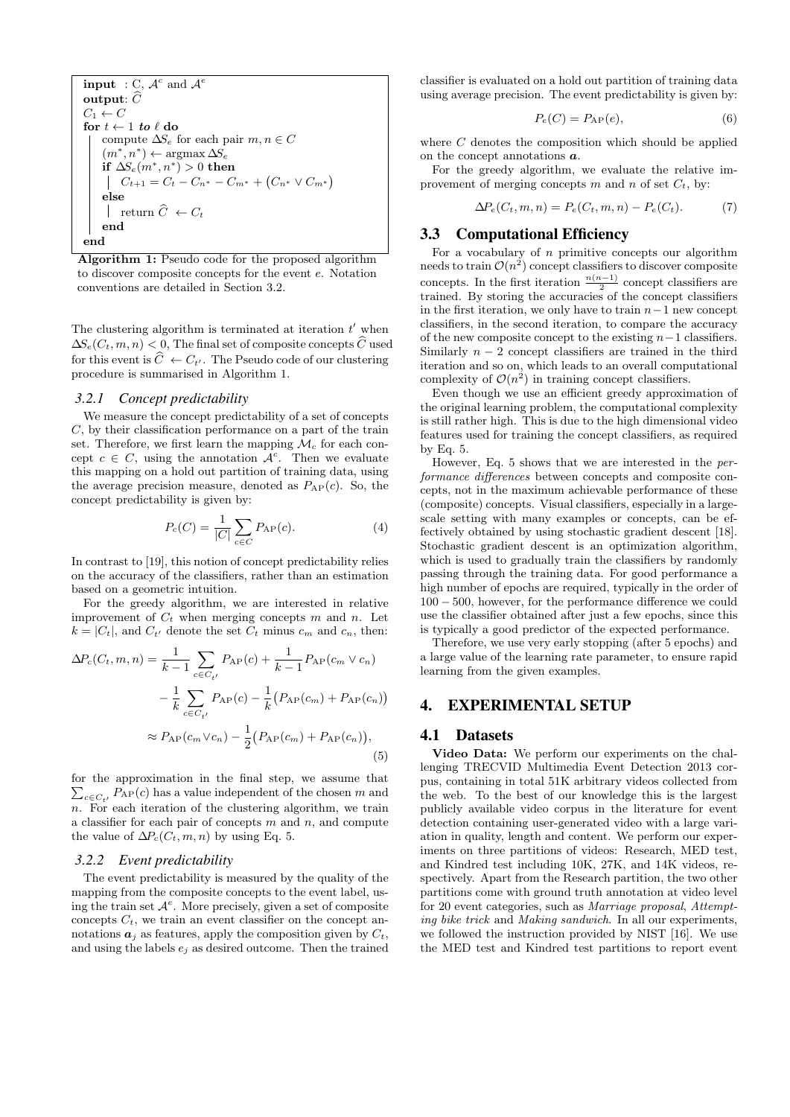input : C,  $A^c$  and  $\overline{A^e}$ output:  $\widehat{C}$  $C_1 \leftarrow C$ for  $t \leftarrow 1$  *to*  $\ell$  do compute  $\Delta S_e$  for each pair  $m, n \in C$  $(m^*, n^*) \leftarrow \operatorname{argmax} \Delta S_e$ if  $\Delta S_e(m^*, n^*) > 0$  then  $C_{t+1} = C_t - C_{n^*} - C_{m^*} + (C_{n^*} \vee C_{m^*})$ else  $\vert$  return  $\widehat{C} \leftarrow C_t$ end end

Algorithm 1: Pseudo code for the proposed algorithm to discover composite concepts for the event *e*. Notation conventions are detailed in Section 3.2.

The clustering algorithm is terminated at iteration  $t'$  when  $\Delta S_e(C_t, m, n) < 0$ , The final set of composite concepts  $\widehat{C}$  used for this event is  $\hat{C} \leftarrow C_{t'}$ . The Pseudo code of our clustering procedure is summarised in Algorithm 1.

#### *3.2.1 Concept predictability*

We measure the concept predictability of a set of concepts *C*, by their classification performance on a part of the train set. Therefore, we first learn the mapping  $\mathcal{M}_c$  for each concept  $c \in C$ , using the annotation  $\mathcal{A}^c$ . Then we evaluate this mapping on a hold out partition of training data, using the average precision measure, denoted as  $P_{AP}(c)$ . So, the concept predictability is given by:

$$
P_c(C) = \frac{1}{|C|} \sum_{c \in C} P_{AP}(c).
$$
 (4)

In contrast to [19], this notion of concept predictability relies on the accuracy of the classifiers, rather than an estimation based on a geometric intuition.

For the greedy algorithm, we are interested in relative improvement of  $C_t$  when merging concepts  $m$  and  $n$ . Let  $k = |C_t|$ , and  $C_{t'}$  denote the set  $C_t$  minus  $c_m$  and  $c_n$ , then:

$$
\Delta P_c(C_t, m, n) = \frac{1}{k - 1} \sum_{c \in C_{t'}} P_{AP}(c) + \frac{1}{k - 1} P_{AP}(c_m \vee c_n)
$$

$$
- \frac{1}{k} \sum_{c \in C_{t'}} P_{AP}(c) - \frac{1}{k} (P_{AP}(c_m) + P_{AP}(c_n))
$$

$$
\approx P_{AP}(c_m \vee c_n) - \frac{1}{2} (P_{AP}(c_m) + P_{AP}(c_n)),
$$
(5)

for the approximation in the final step, we assume that  $\sum_{c \in C_{t'}} P_{\text{AP}}(c)$  has a value independent of the chosen  $m$  and *n*. For each iteration of the clustering algorithm, we train a classifier for each pair of concepts *m* and *n*, and compute the value of  $\Delta P_c(C_t, m, n)$  by using Eq. 5.

#### *3.2.2 Event predictability*

The event predictability is measured by the quality of the mapping from the composite concepts to the event label, using the train set  $A^e$ . More precisely, given a set of composite concepts  $C_t$ , we train an event classifier on the concept annotations  $a_i$  as features, apply the composition given by  $C_t$ , and using the labels  $e_i$  as desired outcome. Then the trained

classifier is evaluated on a hold out partition of training data using average precision. The event predictability is given by:

$$
P_e(C) = P_{AP}(e),\tag{6}
$$

where *C* denotes the composition which should be applied on the concept annotations *a*.

For the greedy algorithm, we evaluate the relative improvement of merging concepts *m* and *n* of set  $C_t$ , by:

$$
\Delta P_e(C_t, m, n) = P_e(C_t, m, n) - P_e(C_t). \tag{7}
$$

#### 3.3 Computational Efficiency

For a vocabulary of *n* primitive concepts our algorithm needs to train  $\mathcal{O}(n^2)$  concept classifiers to discover composite concepts. In the first iteration  $\frac{n(n-1)}{2}$  concept classifiers are trained. By storing the accuracies of the concept classifiers in the first iteration, we only have to train  $n-1$  new concept classifiers, in the second iteration, to compare the accuracy of the new composite concept to the existing  $n-1$  classifiers. Similarly  $n-2$  concept classifiers are trained in the third iteration and so on, which leads to an overall computational complexity of  $\mathcal{O}(n^2)$  in training concept classifiers.

Even though we use an efficient greedy approximation of the original learning problem, the computational complexity is still rather high. This is due to the high dimensional video features used for training the concept classifiers, as required by Eq. 5.

However, Eq. 5 shows that we are interested in the *performance differences* between concepts and composite concepts, not in the maximum achievable performance of these (composite) concepts. Visual classifiers, especially in a largescale setting with many examples or concepts, can be effectively obtained by using stochastic gradient descent [18]. Stochastic gradient descent is an optimization algorithm, which is used to gradually train the classifiers by randomly passing through the training data. For good performance a high number of epochs are required, typically in the order of  $100 - 500$ , however, for the performance difference we could use the classifier obtained after just a few epochs, since this is typically a good predictor of the expected performance.

Therefore, we use very early stopping (after 5 epochs) and a large value of the learning rate parameter, to ensure rapid learning from the given examples.

#### 4. EXPERIMENTAL SETUP

#### 4.1 Datasets

Video Data: We perform our experiments on the challenging TRECVID Multimedia Event Detection 2013 corpus, containing in total 51K arbitrary videos collected from the web. To the best of our knowledge this is the largest publicly available video corpus in the literature for event detection containing user-generated video with a large variation in quality, length and content. We perform our experiments on three partitions of videos: Research, MED test, and Kindred test including 10K, 27K, and 14K videos, respectively. Apart from the Research partition, the two other partitions come with ground truth annotation at video level for 20 event categories, such as *Marriage proposal*, *Attempting bike trick* and *Making sandwich*. In all our experiments, we followed the instruction provided by NIST [16]. We use the MED test and Kindred test partitions to report event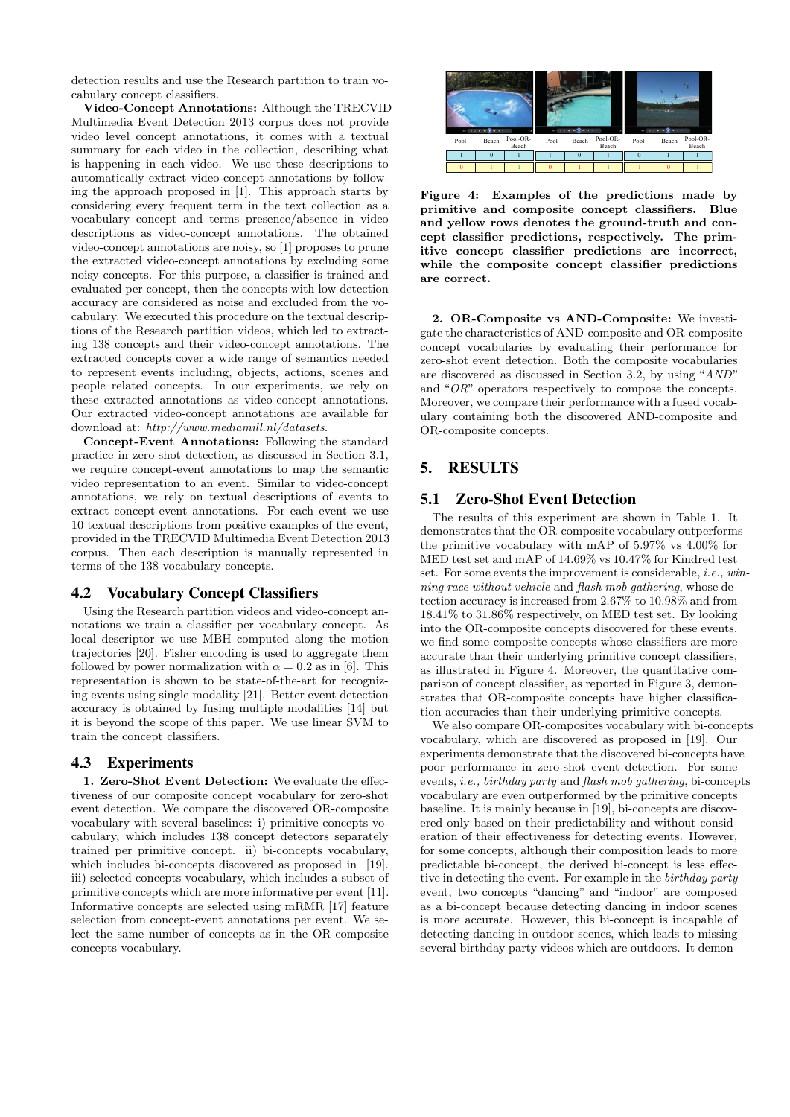detection results and use the Research partition to train vocabulary concept classifiers.

Video-Concept Annotations: Although the TRECVID Multimedia Event Detection 2013 corpus does not provide video level concept annotations, it comes with a textual summary for each video in the collection, describing what is happening in each video. We use these descriptions to automatically extract video-concept annotations by following the approach proposed in [1]. This approach starts by considering every frequent term in the text collection as a vocabulary concept and terms presence/absence in video descriptions as video-concept annotations. The obtained video-concept annotations are noisy, so [1] proposes to prune the extracted video-concept annotations by excluding some noisy concepts. For this purpose, a classifier is trained and evaluated per concept, then the concepts with low detection accuracy are considered as noise and excluded from the vocabulary. We executed this procedure on the textual descriptions of the Research partition videos, which led to extracting 138 concepts and their video-concept annotations. The extracted concepts cover a wide range of semantics needed to represent events including, objects, actions, scenes and people related concepts. In our experiments, we rely on these extracted annotations as video-concept annotations. Our extracted video-concept annotations are available for download at: *http://www.mediamill.nl/datasets*.

Concept-Event Annotations: Following the standard practice in zero-shot detection, as discussed in Section 3.1, we require concept-event annotations to map the semantic video representation to an event. Similar to video-concept annotations, we rely on textual descriptions of events to extract concept-event annotations. For each event we use 10 textual descriptions from positive examples of the event, provided in the TRECVID Multimedia Event Detection 2013 corpus. Then each description is manually represented in terms of the 138 vocabulary concepts.

#### 4.2 Vocabulary Concept Classifiers

Using the Research partition videos and video-concept annotations we train a classifier per vocabulary concept. As local descriptor we use MBH computed along the motion trajectories [20]. Fisher encoding is used to aggregate them followed by power normalization with  $\alpha = 0.2$  as in [6]. This representation is shown to be state-of-the-art for recognizing events using single modality [21]. Better event detection accuracy is obtained by fusing multiple modalities [14] but it is beyond the scope of this paper. We use linear SVM to train the concept classifiers.

#### 4.3 Experiments

1. Zero-Shot Event Detection: We evaluate the effectiveness of our composite concept vocabulary for zero-shot event detection. We compare the discovered OR-composite vocabulary with several baselines: i) primitive concepts vocabulary, which includes 138 concept detectors separately trained per primitive concept. ii) bi-concepts vocabulary, which includes bi-concepts discovered as proposed in [19]. iii) selected concepts vocabulary, which includes a subset of primitive concepts which are more informative per event [11]. Informative concepts are selected using mRMR [17] feature selection from concept-event annotations per event. We select the same number of concepts as in the OR-composite concepts vocabulary.



Figure 4: Examples of the predictions made by primitive and composite concept classifiers. Blue and yellow rows denotes the ground-truth and concept classifier predictions, respectively. The primitive concept classifier predictions are incorrect, while the composite concept classifier predictions are correct.

2. OR-Composite vs AND-Composite: We investigate the characteristics of AND-composite and OR-composite concept vocabularies by evaluating their performance for zero-shot event detection. Both the composite vocabularies are discovered as discussed in Section 3.2, by using "*AND*" and "*OR*" operators respectively to compose the concepts. Moreover, we compare their performance with a fused vocabulary containing both the discovered AND-composite and OR-composite concepts.

# 5. RESULTS

## 5.1 Zero-Shot Event Detection

The results of this experiment are shown in Table 1. It demonstrates that the OR-composite vocabulary outperforms the primitive vocabulary with mAP of 5.97% vs 4.00% for MED test set and mAP of 14.69% vs 10.47% for Kindred test set. For some events the improvement is considerable, *i.e., winning race without vehicle* and *flash mob gathering*, whose detection accuracy is increased from 2.67% to 10.98% and from 18.41% to 31.86% respectively, on MED test set. By looking into the OR-composite concepts discovered for these events, we find some composite concepts whose classifiers are more accurate than their underlying primitive concept classifiers, as illustrated in Figure 4. Moreover, the quantitative comparison of concept classifier, as reported in Figure 3, demonstrates that OR-composite concepts have higher classification accuracies than their underlying primitive concepts.

We also compare OR-composites vocabulary with bi-concepts vocabulary, which are discovered as proposed in [19]. Our experiments demonstrate that the discovered bi-concepts have poor performance in zero-shot event detection. For some events, *i.e., birthday party* and *flash mob gathering*, bi-concepts vocabulary are even outperformed by the primitive concepts baseline. It is mainly because in [19], bi-concepts are discovered only based on their predictability and without consideration of their effectiveness for detecting events. However, for some concepts, although their composition leads to more predictable bi-concept, the derived bi-concept is less effective in detecting the event. For example in the *birthday party* event, two concepts "dancing" and "indoor" are composed as a bi-concept because detecting dancing in indoor scenes is more accurate. However, this bi-concept is incapable of detecting dancing in outdoor scenes, which leads to missing several birthday party videos which are outdoors. It demon-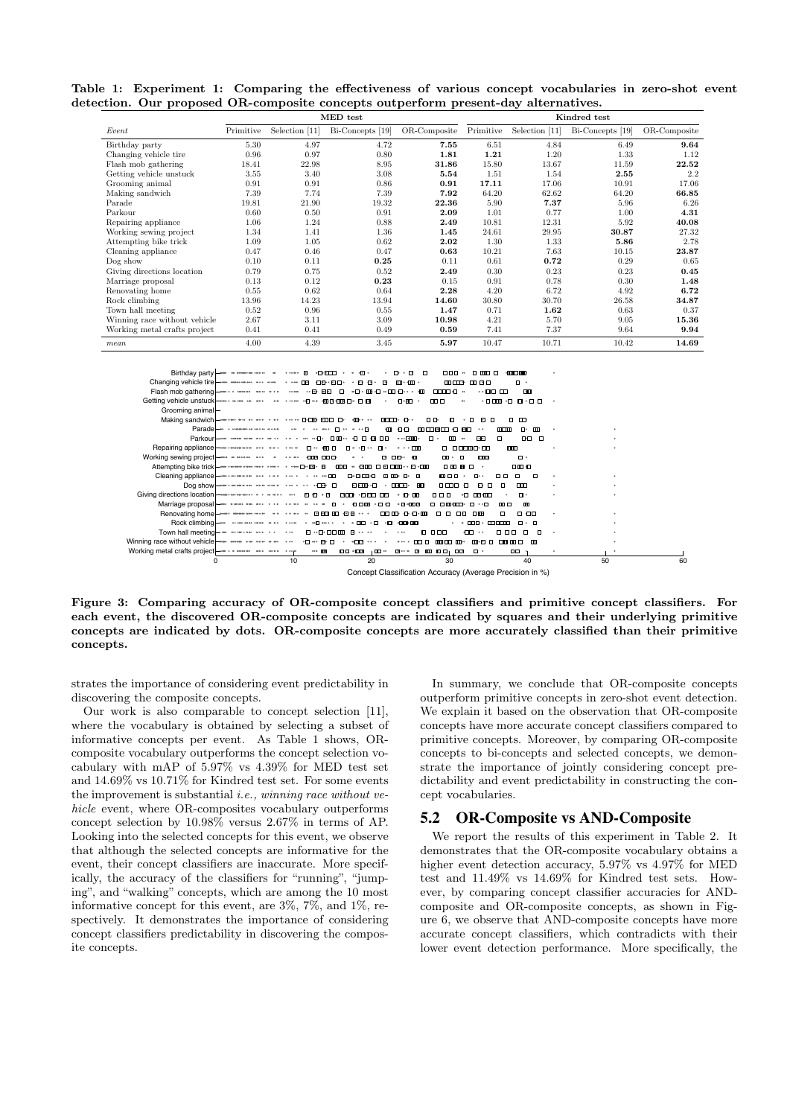Table 1: Experiment 1: Comparing the effectiveness of various concept vocabularies in zero-shot event detection. Our proposed OR-composite concepts outperform present-day alternatives.

|                              | MED test  |                |                  |              | Kindred test |                |                  |              |  |
|------------------------------|-----------|----------------|------------------|--------------|--------------|----------------|------------------|--------------|--|
| Event                        | Primitive | Selection [11] | Bi-Concepts [19] | OR-Composite | Primitive    | Selection [11] | Bi-Concepts [19] | OR-Composite |  |
| Birthday party               | 5.30      | 4.97           | 4.72             | 7.55         | 6.51         | 4.84           | 6.49             | 9.64         |  |
| Changing vehicle tire        | 0.96      | 0.97           | 0.80             | 1.81         | 1.21         | 1.20           | 1.33             | 1.12         |  |
| Flash mob gathering          | 18.41     | 22.98          | 8.95             | 31.86        | 15.80        | 13.67          | 11.59            | 22.52        |  |
| Getting vehicle unstuck      | 3.55      | 3.40           | 3.08             | 5.54         | 1.51         | 1.54           | 2.55             | 2.2          |  |
| Grooming animal              | 0.91      | 0.91           | 0.86             | 0.91         | 17.11        | 17.06          | 10.91            | 17.06        |  |
| Making sandwich              | 7.39      | 7.74           | 7.39             | 7.92         | 64.20        | 62.62          | 64.20            | 66.85        |  |
| Parade                       | 19.81     | 21.90          | 19.32            | 22.36        | 5.90         | 7.37           | 5.96             | 6.26         |  |
| Parkour                      | 0.60      | 0.50           | 0.91             | 2.09         | 1.01         | 0.77           | 1.00             | 4.31         |  |
| Repairing appliance          | 1.06      | 1.24           | 0.88             | 2.49         | 10.81        | 12.31          | 5.92             | 40.08        |  |
| Working sewing project       | 1.34      | 1.41           | 1.36             | 1.45         | 24.61        | 29.95          | 30.87            | 27.32        |  |
| Attempting bike trick        | 1.09      | 1.05           | 0.62             | 2.02         | 1.30         | 1.33           | 5.86             | 2.78         |  |
| Cleaning appliance           | 0.47      | 0.46           | 0.47             | 0.63         | 10.21        | 7.63           | 10.15            | 23.87        |  |
| Dog show                     | 0.10      | 0.11           | 0.25             | 0.11         | 0.61         | 0.72           | 0.29             | 0.65         |  |
| Giving directions location   | 0.79      | 0.75           | 0.52             | 2.49         | 0.30         | 0.23           | 0.23             | 0.45         |  |
| Marriage proposal            | 0.13      | 0.12           | 0.23             | 0.15         | 0.91         | 0.78           | 0.30             | 1.48         |  |
| Renovating home              | 0.55      | 0.62           | 0.64             | 2.28         | 4.20         | 6.72           | 4.92             | 6.72         |  |
| Rock climbing                | 13.96     | 14.23          | 13.94            | 14.60        | 30.80        | 30.70          | 26.58            | 34.87        |  |
| Town hall meeting            | 0.52      | 0.96           | 0.55             | 1.47         | 0.71         | 1.62           | 0.63             | 0.37         |  |
| Winning race without vehicle | 2.67      | 3.11           | 3.09             | 10.98        | 4.21         | 5.70           | 9.05             | 15.36        |  |
| Working metal crafts project | 0.41      | 0.41           | 0.49             | 0.59         | 7.41         | 7.37           | 9.64             | 9.94         |  |
| mean                         | 4.00      | 4.39           | 3.45             | 5.97         | 10.47        | 10.71          | 10.42            | 14.69        |  |



Figure 3: Comparing accuracy of OR-composite concept classifiers and primitive concept classifiers. For each event, the discovered OR-composite concepts are indicated by squares and their underlying primitive concepts are indicated by dots. OR-composite concepts are more accurately classified than their primitive concepts.

strates the importance of considering event predictability in discovering the composite concepts.

Our work is also comparable to concept selection [11], where the vocabulary is obtained by selecting a subset of informative concepts per event. As Table 1 shows, ORcomposite vocabulary outperforms the concept selection vocabulary with mAP of 5.97% vs 4.39% for MED test set and 14.69% vs 10.71% for Kindred test set. For some events the improvement is substantial *i.e., winning race without vehicle* event, where OR-composites vocabulary outperforms concept selection by 10.98% versus 2.67% in terms of AP. Looking into the selected concepts for this event, we observe that although the selected concepts are informative for the event, their concept classifiers are inaccurate. More specifically, the accuracy of the classifiers for "running", "jumping", and "walking" concepts, which are among the 10 most informative concept for this event, are 3%, 7%, and 1%, respectively. It demonstrates the importance of considering concept classifiers predictability in discovering the composite concepts.

In summary, we conclude that OR-composite concepts outperform primitive concepts in zero-shot event detection. We explain it based on the observation that OR-composite concepts have more accurate concept classifiers compared to primitive concepts. Moreover, by comparing OR-composite concepts to bi-concepts and selected concepts, we demonstrate the importance of jointly considering concept predictability and event predictability in constructing the concept vocabularies.

#### 5.2 OR-Composite vs AND-Composite

We report the results of this experiment in Table 2. It demonstrates that the OR-composite vocabulary obtains a higher event detection accuracy, 5.97% vs 4.97% for MED test and 11.49% vs 14.69% for Kindred test sets. However, by comparing concept classifier accuracies for ANDcomposite and OR-composite concepts, as shown in Figure 6, we observe that AND-composite concepts have more accurate concept classifiers, which contradicts with their lower event detection performance. More specifically, the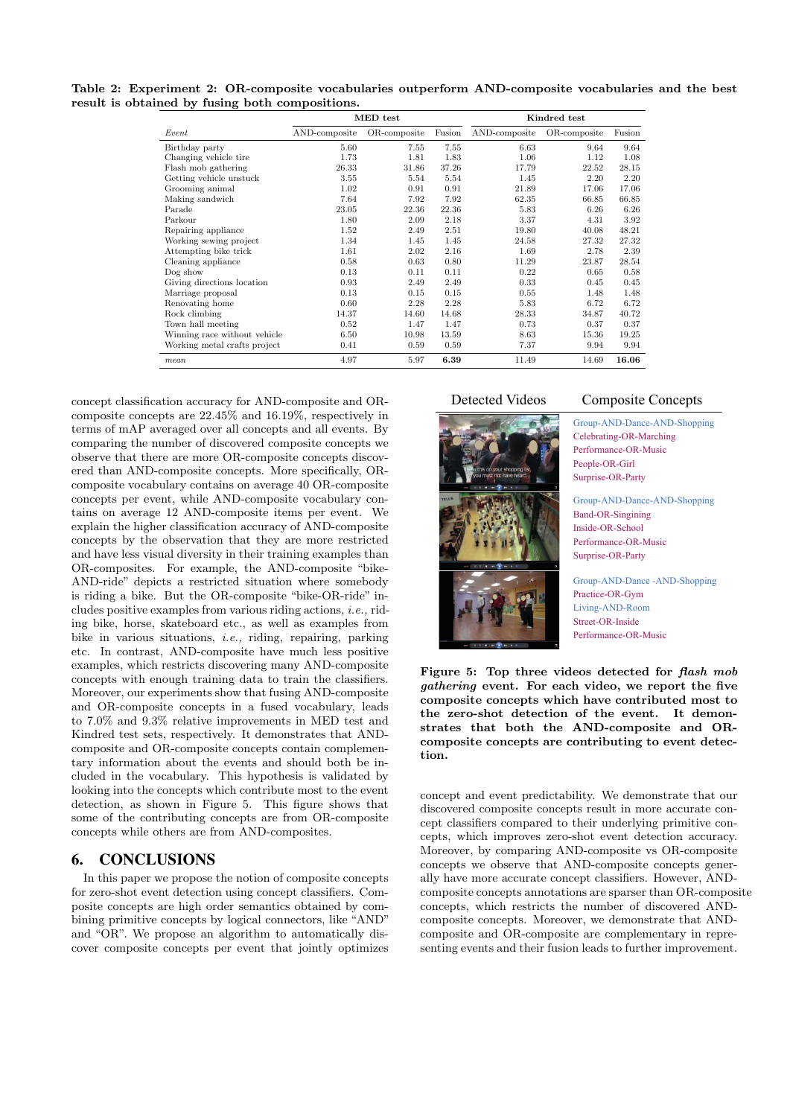Table 2: Experiment 2: OR-composite vocabularies outperform AND-composite vocabularies and the best result is obtained by fusing both compositions.

|                              |               | MED test     | Kindred test |               |              |        |
|------------------------------|---------------|--------------|--------------|---------------|--------------|--------|
| Event                        | AND-composite | OR-composite | Fusion       | AND-composite | OR-composite | Fusion |
| Birthday party               | 5.60          | 7.55         | 7.55         | 6.63          | 9.64         | 9.64   |
| Changing vehicle tire        | 1.73          | 1.81         | 1.83         | 1.06          | 1.12         | 1.08   |
| Flash mob gathering          | 26.33         | 31.86        | 37.26        | 17.79         | 22.52        | 28.15  |
| Getting vehicle unstuck      | 3.55          | 5.54         | 5.54         | 1.45          | 2.20         | 2.20   |
| Grooming animal              | 1.02          | 0.91         | 0.91         | 21.89         | 17.06        | 17.06  |
| Making sandwich              | 7.64          | 7.92         | 7.92         | 62.35         | 66.85        | 66.85  |
| Parade                       | 23.05         | 22.36        | 22.36        | 5.83          | 6.26         | 6.26   |
| Parkour                      | 1.80          | 2.09         | 2.18         | 3.37          | 4.31         | 3.92   |
| Repairing appliance          | 1.52          | 2.49         | 2.51         | 19.80         | 40.08        | 48.21  |
| Working sewing project       | 1.34          | 1.45         | 1.45         | 24.58         | 27.32        | 27.32  |
| Attempting bike trick        | 1.61          | 2.02         | 2.16         | 1.69          | 2.78         | 2.39   |
| Cleaning appliance           | 0.58          | 0.63         | 0.80         | 11.29         | 23.87        | 28.54  |
| Dog show                     | 0.13          | 0.11         | 0.11         | 0.22          | 0.65         | 0.58   |
| Giving directions location   | 0.93          | 2.49         | 2.49         | 0.33          | 0.45         | 0.45   |
| Marriage proposal            | 0.13          | 0.15         | 0.15         | 0.55          | 1.48         | 1.48   |
| Renovating home              | 0.60          | 2.28         | 2.28         | 5.83          | 6.72         | 6.72   |
| Rock climbing                | 14.37         | 14.60        | 14.68        | 28.33         | 34.87        | 40.72  |
| Town hall meeting            | 0.52          | 1.47         | 1.47         | 0.73          | 0.37         | 0.37   |
| Winning race without vehicle | 6.50          | 10.98        | 13.59        | 8.63          | 15.36        | 19.25  |
| Working metal crafts project | 0.41          | 0.59         | 0.59         | 7.37          | 9.94         | 9.94   |
| mean                         | 4.97          | 5.97         | 6.39         | 11.49         | 14.69        | 16.06  |

concept classification accuracy for AND-composite and ORcomposite concepts are 22.45% and 16.19%, respectively in terms of mAP averaged over all concepts and all events. By comparing the number of discovered composite concepts we observe that there are more OR-composite concepts discovered than AND-composite concepts. More specifically, ORcomposite vocabulary contains on average 40 OR-composite concepts per event, while AND-composite vocabulary contains on average 12 AND-composite items per event. We explain the higher classification accuracy of AND-composite concepts by the observation that they are more restricted and have less visual diversity in their training examples than OR-composites. For example, the AND-composite "bike-AND-ride" depicts a restricted situation where somebody is riding a bike. But the OR-composite "bike-OR-ride" includes positive examples from various riding actions, *i.e.,* riding bike, horse, skateboard etc., as well as examples from bike in various situations, *i.e.,* riding, repairing, parking etc. In contrast, AND-composite have much less positive examples, which restricts discovering many AND-composite concepts with enough training data to train the classifiers. Moreover, our experiments show that fusing AND-composite and OR-composite concepts in a fused vocabulary, leads to 7.0% and 9.3% relative improvements in MED test and Kindred test sets, respectively. It demonstrates that ANDcomposite and OR-composite concepts contain complementary information about the events and should both be included in the vocabulary. This hypothesis is validated by looking into the concepts which contribute most to the event detection, as shown in Figure 5. This figure shows that some of the contributing concepts are from OR-composite concepts while others are from AND-composites.

# 6. CONCLUSIONS

In this paper we propose the notion of composite concepts for zero-shot event detection using concept classifiers. Composite concepts are high order semantics obtained by combining primitive concepts by logical connectors, like "AND" and "OR". We propose an algorithm to automatically discover composite concepts per event that jointly optimizes



# Detected Videos Composite Concepts

Group-AND-Dance-AND-Shopping Celebrating-OR-Marching Performance-OR-Music People-OR-Girl Surprise-OR-Party

Group-AND-Dance-AND-Shopping Band-OR-Singining Inside-OR-School Performance-OR-Music Surprise-OR-Party

Group-AND-Dance -AND-Shopping Practice-OR-Gym Living-AND-Room Street-OR-Inside Performance-OR-Music

Figure 5: Top three videos detected for *flash mob gathering* event. For each video, we report the five composite concepts which have contributed most to the zero-shot detection of the event. It demonstrates that both the AND-composite and ORcomposite concepts are contributing to event detection.

concept and event predictability. We demonstrate that our discovered composite concepts result in more accurate concept classifiers compared to their underlying primitive concepts, which improves zero-shot event detection accuracy. Moreover, by comparing AND-composite vs OR-composite concepts we observe that AND-composite concepts generally have more accurate concept classifiers. However, ANDcomposite concepts annotations are sparser than OR-composite concepts, which restricts the number of discovered ANDcomposite concepts. Moreover, we demonstrate that ANDcomposite and OR-composite are complementary in representing events and their fusion leads to further improvement.